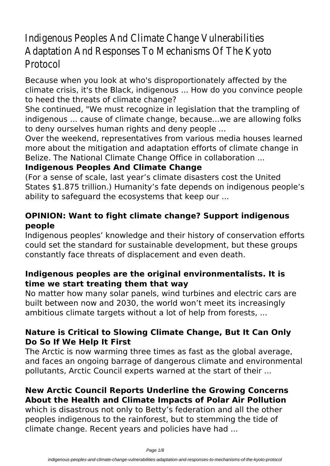# Indigenous Peoples And Climate Change Vulnerabilities Adaptation And Responses To Mechanisms Of The Kyoto Protocol

Because when you look at who's disproportionately affected by the climate crisis, it's the Black, indigenous ... How do you convince people to heed the threats of climate change?

She continued, "We must recognize in legislation that the trampling of indigenous ... cause of climate change, because...we are allowing folks to deny ourselves human rights and deny people ...

Over the weekend, representatives from various media houses learned more about the mitigation and adaptation efforts of climate change in Belize. The National Climate Change Office in collaboration ...

## **Indigenous Peoples And Climate Change**

(For a sense of scale, last year's climate disasters cost the United States \$1.875 trillion.) Humanity's fate depends on indigenous people's ability to safeguard the ecosystems that keep our ...

#### **OPINION: Want to fight climate change? Support indigenous people**

Indigenous peoples' knowledge and their history of conservation efforts could set the standard for sustainable development, but these groups constantly face threats of displacement and even death.

#### **Indigenous peoples are the original environmentalists. It is time we start treating them that way**

No matter how many solar panels, wind turbines and electric cars are built between now and 2030, the world won't meet its increasingly ambitious climate targets without a lot of help from forests, ...

#### **Nature is Critical to Slowing Climate Change, But It Can Only Do So If We Help It First**

The Arctic is now warming three times as fast as the global average, and faces an ongoing barrage of dangerous climate and environmental pollutants, Arctic Council experts warned at the start of their ...

# **New Arctic Council Reports Underline the Growing Concerns About the Health and Climate Impacts of Polar Air Pollution**

which is disastrous not only to Betty's federation and all the other peoples indigenous to the rainforest, but to stemming the tide of climate change. Recent years and policies have had ...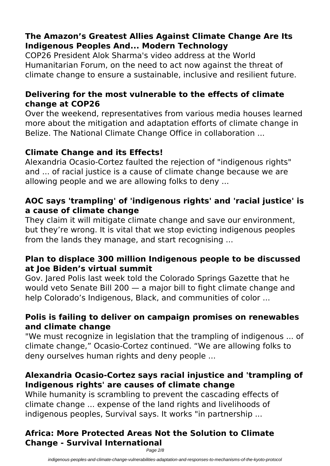## **The Amazon's Greatest Allies Against Climate Change Are Its Indigenous Peoples And... Modern Technology**

COP26 President Alok Sharma's video address at the World Humanitarian Forum, on the need to act now against the threat of climate change to ensure a sustainable, inclusive and resilient future.

#### **Delivering for the most vulnerable to the effects of climate change at COP26**

Over the weekend, representatives from various media houses learned more about the mitigation and adaptation efforts of climate change in Belize. The National Climate Change Office in collaboration ...

## **Climate Change and its Effects!**

Alexandria Ocasio-Cortez faulted the rejection of "indigenous rights" and ... of racial justice is a cause of climate change because we are allowing people and we are allowing folks to deny ...

#### **AOC says 'trampling' of 'indigenous rights' and 'racial justice' is a cause of climate change**

They claim it will mitigate climate change and save our environment, but they're wrong. It is vital that we stop evicting indigenous peoples from the lands they manage, and start recognising ...

#### **Plan to displace 300 million Indigenous people to be discussed at Joe Biden's virtual summit**

Gov. Jared Polis last week told the Colorado Springs Gazette that he would veto Senate Bill 200 — a major bill to fight climate change and help Colorado's Indigenous, Black, and communities of color ...

#### **Polis is failing to deliver on campaign promises on renewables and climate change**

"We must recognize in legislation that the trampling of indigenous ... of climate change," Ocasio-Cortez continued. "We are allowing folks to deny ourselves human rights and deny people ...

#### **Alexandria Ocasio-Cortez says racial injustice and 'trampling of Indigenous rights' are causes of climate change**

While humanity is scrambling to prevent the cascading effects of climate change ... expense of the land rights and livelihoods of indigenous peoples, Survival says. It works "in partnership ...

## **Africa: More Protected Areas Not the Solution to Climate Change - Survival International**

Page 2/8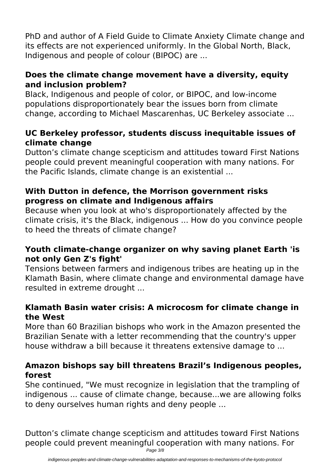PhD and author of A Field Guide to Climate Anxiety Climate change and its effects are not experienced uniformly. In the Global North, Black, Indigenous and people of colour (BIPOC) are ...

#### **Does the climate change movement have a diversity, equity and inclusion problem?**

Black, Indigenous and people of color, or BIPOC, and low-income populations disproportionately bear the issues born from climate change, according to Michael Mascarenhas, UC Berkeley associate ...

#### **UC Berkeley professor, students discuss inequitable issues of climate change**

Dutton's climate change scepticism and attitudes toward First Nations people could prevent meaningful cooperation with many nations. For the Pacific Islands, climate change is an existential ...

#### **With Dutton in defence, the Morrison government risks progress on climate and Indigenous affairs**

Because when you look at who's disproportionately affected by the climate crisis, it's the Black, indigenous ... How do you convince people to heed the threats of climate change?

## **Youth climate-change organizer on why saving planet Earth 'is not only Gen Z's fight'**

Tensions between farmers and indigenous tribes are heating up in the Klamath Basin, where climate change and environmental damage have resulted in extreme drought ...

#### **Klamath Basin water crisis: A microcosm for climate change in the West**

More than 60 Brazilian bishops who work in the Amazon presented the Brazilian Senate with a letter recommending that the country's upper house withdraw a bill because it threatens extensive damage to ...

#### **Amazon bishops say bill threatens Brazil's Indigenous peoples, forest**

She continued, "We must recognize in legislation that the trampling of indigenous ... cause of climate change, because...we are allowing folks to deny ourselves human rights and deny people ...

Dutton's climate change scepticism and attitudes toward First Nations people could prevent meaningful cooperation with many nations. For

Page 3/8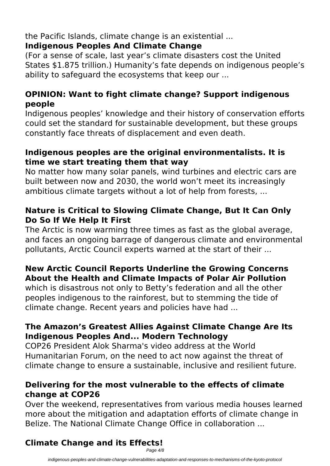# the Pacific Islands, climate change is an existential ...

#### **Indigenous Peoples And Climate Change**

(For a sense of scale, last year's climate disasters cost the United States \$1.875 trillion.) Humanity's fate depends on indigenous people's ability to safeguard the ecosystems that keep our ...

#### **OPINION: Want to fight climate change? Support indigenous people**

Indigenous peoples' knowledge and their history of conservation efforts could set the standard for sustainable development, but these groups constantly face threats of displacement and even death.

#### **Indigenous peoples are the original environmentalists. It is time we start treating them that way**

No matter how many solar panels, wind turbines and electric cars are built between now and 2030, the world won't meet its increasingly ambitious climate targets without a lot of help from forests, ...

#### **Nature is Critical to Slowing Climate Change, But It Can Only Do So If We Help It First**

The Arctic is now warming three times as fast as the global average, and faces an ongoing barrage of dangerous climate and environmental pollutants, Arctic Council experts warned at the start of their ...

## **New Arctic Council Reports Underline the Growing Concerns About the Health and Climate Impacts of Polar Air Pollution**

which is disastrous not only to Betty's federation and all the other peoples indigenous to the rainforest, but to stemming the tide of climate change. Recent years and policies have had ...

#### **The Amazon's Greatest Allies Against Climate Change Are Its Indigenous Peoples And... Modern Technology**

COP26 President Alok Sharma's video address at the World Humanitarian Forum, on the need to act now against the threat of climate change to ensure a sustainable, inclusive and resilient future.

#### **Delivering for the most vulnerable to the effects of climate change at COP26**

Over the weekend, representatives from various media houses learned more about the mitigation and adaptation efforts of climate change in Belize. The National Climate Change Office in collaboration ...

# **Climate Change and its Effects!**

Page 4/8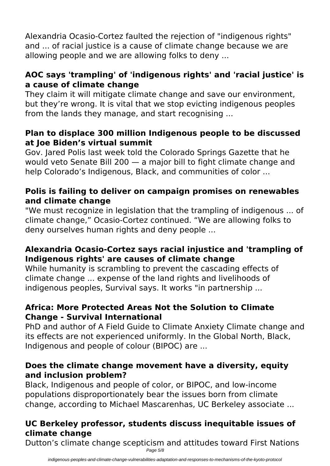Alexandria Ocasio-Cortez faulted the rejection of "indigenous rights" and ... of racial justice is a cause of climate change because we are allowing people and we are allowing folks to deny ...

#### **AOC says 'trampling' of 'indigenous rights' and 'racial justice' is a cause of climate change**

They claim it will mitigate climate change and save our environment, but they're wrong. It is vital that we stop evicting indigenous peoples from the lands they manage, and start recognising ...

#### **Plan to displace 300 million Indigenous people to be discussed at Joe Biden's virtual summit**

Gov. Jared Polis last week told the Colorado Springs Gazette that he would veto Senate Bill 200 — a major bill to fight climate change and help Colorado's Indigenous, Black, and communities of color ...

## **Polis is failing to deliver on campaign promises on renewables and climate change**

"We must recognize in legislation that the trampling of indigenous ... of climate change," Ocasio-Cortez continued. "We are allowing folks to deny ourselves human rights and deny people ...

## **Alexandria Ocasio-Cortez says racial injustice and 'trampling of Indigenous rights' are causes of climate change**

While humanity is scrambling to prevent the cascading effects of climate change ... expense of the land rights and livelihoods of indigenous peoples, Survival says. It works "in partnership ...

## **Africa: More Protected Areas Not the Solution to Climate Change - Survival International**

PhD and author of A Field Guide to Climate Anxiety Climate change and its effects are not experienced uniformly. In the Global North, Black, Indigenous and people of colour (BIPOC) are ...

#### **Does the climate change movement have a diversity, equity and inclusion problem?**

Black, Indigenous and people of color, or BIPOC, and low-income populations disproportionately bear the issues born from climate change, according to Michael Mascarenhas, UC Berkeley associate ...

# **UC Berkeley professor, students discuss inequitable issues of climate change**

Dutton's climate change scepticism and attitudes toward First Nations Page 5/8

indigenous-peoples-and-climate-change-vulnerabilities-adaptation-and-responses-to-mechanisms-of-the-kyoto-protocol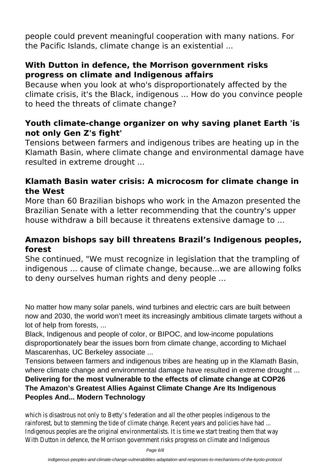people could prevent meaningful cooperation with many nations. For the Pacific Islands, climate change is an existential ...

#### **With Dutton in defence, the Morrison government risks progress on climate and Indigenous affairs**

Because when you look at who's disproportionately affected by the climate crisis, it's the Black, indigenous ... How do you convince people to heed the threats of climate change?

#### **Youth climate-change organizer on why saving planet Earth 'is not only Gen Z's fight'**

Tensions between farmers and indigenous tribes are heating up in the Klamath Basin, where climate change and environmental damage have resulted in extreme drought ...

#### **Klamath Basin water crisis: A microcosm for climate change in the West**

More than 60 Brazilian bishops who work in the Amazon presented the Brazilian Senate with a letter recommending that the country's upper house withdraw a bill because it threatens extensive damage to ...

#### **Amazon bishops say bill threatens Brazil's Indigenous peoples, forest**

She continued, "We must recognize in legislation that the trampling of indigenous ... cause of climate change, because...we are allowing folks to deny ourselves human rights and deny people ...

No matter how many solar panels, wind turbines and electric cars are built between now and 2030, the world won't meet its increasingly ambitious climate targets without a lot of help from forests, ...

Black, Indigenous and people of color, or BIPOC, and low-income populations disproportionately bear the issues born from climate change, according to Michael Mascarenhas, UC Berkeley associate ...

Tensions between farmers and indigenous tribes are heating up in the Klamath Basin, where climate change and environmental damage have resulted in extreme drought ...

#### **Delivering for the most vulnerable to the effects of climate change at COP26 The Amazon's Greatest Allies Against Climate Change Are Its Indigenous Peoples And... Modern Technology**

which is disastrous not only to Betty's federation and all the other peoples indigenous to the rainforest, but to stemming the tide of climate change. Recent years and policies have had... Indigenous peoples are the original environmentalists. It is time we start treating them that With Dutton in defence, the Morrison government risks progress on climate and Indigenous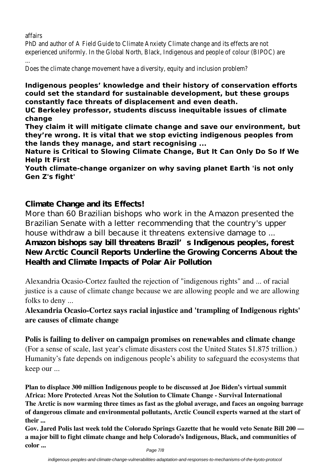#### affairs

PhD and author of A Field Guide to Climate Anxiety Climate change and its effects are not experienced uniformly. In the Global North, Black, Indigenous and people of colour (BIPOC) are ...

Does the climate change movement have a diversity, equity and inclusion problem?

**Indigenous peoples' knowledge and their history of conservation efforts could set the standard for sustainable development, but these groups constantly face threats of displacement and even death.**

**UC Berkeley professor, students discuss inequitable issues of climate change**

**They claim it will mitigate climate change and save our environment, but they're wrong. It is vital that we stop evicting indigenous peoples from the lands they manage, and start recognising ...**

**Nature is Critical to Slowing Climate Change, But It Can Only Do So If We Help It First**

**Youth climate-change organizer on why saving planet Earth 'is not only Gen Z's fight'**

#### **Climate Change and its Effects!**

More than 60 Brazilian bishops who work in the Amazon presented the Brazilian Senate with a letter recommending that the country's upper house withdraw a bill because it threatens extensive damage to ...

#### **Amazon bishops say bill threatens Brazil's Indigenous peoples, forest New Arctic Council Reports Underline the Growing Concerns About the Health and Climate Impacts of Polar Air Pollution**

Alexandria Ocasio-Cortez faulted the rejection of "indigenous rights" and ... of racial justice is a cause of climate change because we are allowing people and we are allowing folks to deny ...

**Alexandria Ocasio-Cortez says racial injustice and 'trampling of Indigenous rights' are causes of climate change**

**Polis is failing to deliver on campaign promises on renewables and climate change** (For a sense of scale, last year's climate disasters cost the United States \$1.875 trillion.) Humanity's fate depends on indigenous people's ability to safeguard the ecosystems that keep our ...

**Plan to displace 300 million Indigenous people to be discussed at Joe Biden's virtual summit Africa: More Protected Areas Not the Solution to Climate Change - Survival International The Arctic is now warming three times as fast as the global average, and faces an ongoing barrage of dangerous climate and environmental pollutants, Arctic Council experts warned at the start of their ...**

**Gov. Jared Polis last week told the Colorado Springs Gazette that he would veto Senate Bill 200 a major bill to fight climate change and help Colorado's Indigenous, Black, and communities of color ...**